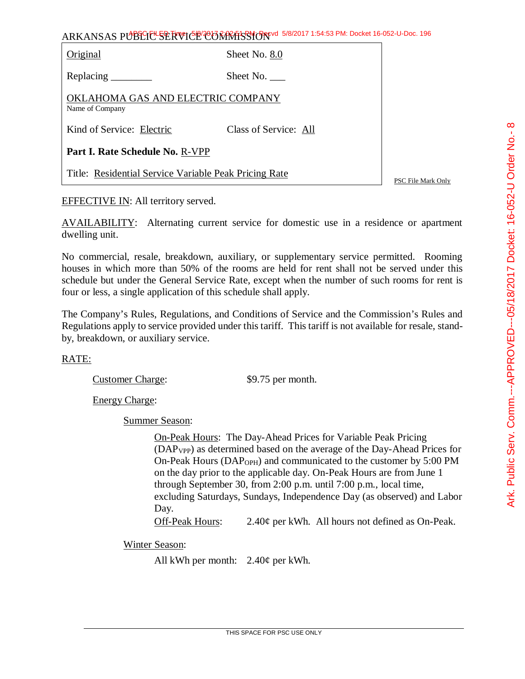ARKANSAS PUBLIC SERVICE COMMISSION 5/8/2017 1:54:53 PM: Docket 16-052-U-Doc. 196

| Original                                              | Sheet No. 8.0         |                    |
|-------------------------------------------------------|-----------------------|--------------------|
| Replacing                                             | Sheet No.             |                    |
| OKLAHOMA GAS AND ELECTRIC COMPANY<br>Name of Company  |                       |                    |
| Kind of Service: Electric                             | Class of Service: All |                    |
| Part I. Rate Schedule No. R-VPP                       |                       |                    |
| Title: Residential Service Variable Peak Pricing Rate |                       | PSC File Mark Only |

EFFECTIVE IN: All territory served.

AVAILABILITY: Alternating current service for domestic use in a residence or apartment dwelling unit.

No commercial, resale, breakdown, auxiliary, or supplementary service permitted. Rooming houses in which more than 50% of the rooms are held for rent shall not be served under this schedule but under the General Service Rate, except when the number of such rooms for rent is four or less, a single application of this schedule shall apply.

The Company's Rules, Regulations, and Conditions of Service and the Commission's Rules and Regulations apply to service provided under this tariff. This tariff is not available for resale, standby, breakdown, or auxiliary service.

## RATE:

Customer Charge: \$9.75 per month.

Energy Charge:

Summer Season:

On-Peak Hours: The Day-Ahead Prices for Variable Peak Pricing (DAPVPP) as determined based on the average of the Day-Ahead Prices for On-Peak Hours (DAP<sub>OPH</sub>) and communicated to the customer by 5:00 PM on the day prior to the applicable day. On-Peak Hours are from June 1 through September 30, from 2:00 p.m. until 7:00 p.m., local time, excluding Saturdays, Sundays, Independence Day (as observed) and Labor Day.

Off-Peak Hours: 2.40¢ per kWh. All hours not defined as On-Peak.

Winter Season:

All kWh per month: 2.40¢ per kWh.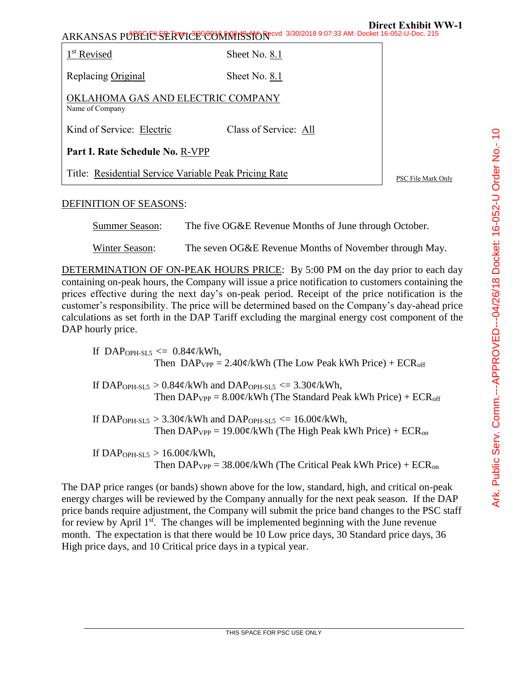ARKANSAS PUBLIC SERVICE COMMISSION 3/30/2018 9:07:33 AM: Docket 16-052-U-Doc. 215

1<sup>st</sup> Revised Sheet No. 8.1 Replacing Original Sheet No. 8.1 OKLAHOMA GAS AND ELECTRIC COMPANY Name of Company Kind of Service: Electric Class of Service: All **Part I. Rate Schedule No.** R-VPP Title: Residential Service Variable Peak Pricing Rate PSC File Mark Only

## DEFINITION OF SEASONS:

Summer Season: The five OG&E Revenue Months of June through October.

Winter Season: The seven OG&E Revenue Months of November through May.

DETERMINATION OF ON-PEAK HOURS PRICE: By 5:00 PM on the day prior to each day containing on-peak hours, the Company will issue a price notification to customers containing the prices effective during the next day's on-peak period. Receipt of the price notification is the customer's responsibility. The price will be determined based on the Company's day-ahead price calculations as set forth in the DAP Tariff excluding the marginal energy cost component of the DAP hourly price.

If DAP<sub>OPH-SL5</sub>  $\leq$  0.84¢/kWh, Then  $DAP_{VPP} = 2.40\frac{\epsilon}{kWh}$  (The Low Peak kWh Price) + ECR<sub>off</sub>

If DAP<sub>OPH-SL5</sub> >  $0.84\phi$ /kWh and DAP<sub>OPH-SL5</sub> <=  $3.30\phi$ /kWh, Then  $DAP_{VPP} = 8.00 \phi/kWh$  (The Standard Peak kWh Price) + ECR<sub>off</sub>

If DAP<sub>OPH-SL5</sub> >  $3.30\phi$ /kWh and DAP<sub>OPH-SL5</sub> <=  $16.00\phi$ /kWh, Then  $DAP_{VPP} = 19.00 \phi/kWh$  (The High Peak kWh Price) +  $ECR_{on}$ 

If DAP<sub>OPH-SL5</sub>  $> 16.00 \frac{\mu}{kWh}$ , Then  $DAP_{VPP} = 38.00 \phi/kWh$  (The Critical Peak kWh Price) + ECR<sub>on</sub>

The DAP price ranges (or bands) shown above for the low, standard, high, and critical on-peak energy charges will be reviewed by the Company annually for the next peak season. If the DAP price bands require adjustment, the Company will submit the price band changes to the PSC staff for review by April  $1<sup>st</sup>$ . The changes will be implemented beginning with the June revenue month. The expectation is that there would be 10 Low price days, 30 Standard price days, 36 High price days, and 10 Critical price days in a typical year.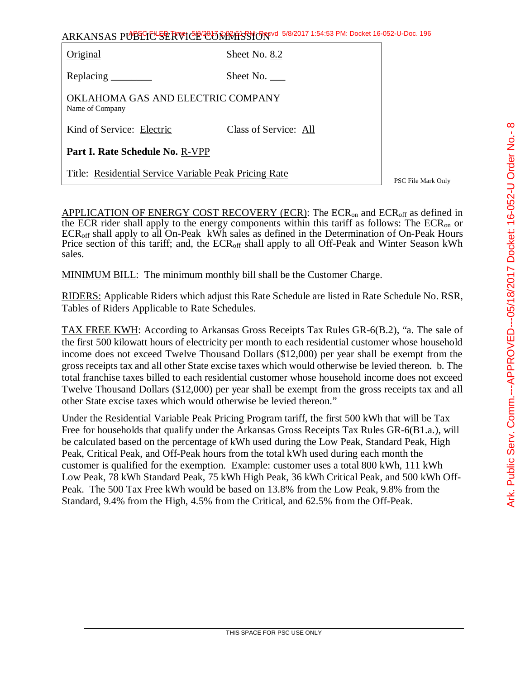ARKANSAS PUBLIC SERVICE COMMISSION 5/8/2017 1:54:53 PM: Docket 16-052-U-Doc. 196

| Original                                              | Sheet No. 8.2         |  |
|-------------------------------------------------------|-----------------------|--|
|                                                       | Sheet No.             |  |
| OKLAHOMA GAS AND ELECTRIC COMPANY<br>Name of Company  |                       |  |
| Kind of Service: Electric                             | Class of Service: All |  |
| Part I. Rate Schedule No. R-VPP                       |                       |  |
| Title: Residential Service Variable Peak Pricing Rate |                       |  |

PSC File Mark Only

APPLICATION OF ENERGY COST RECOVERY (ECR): The ECR<sub>on</sub> and ECR<sub>off</sub> as defined in the ECR rider shall apply to the energy components within this tariff as follows: The ECRon or ECRoff shall apply to all On-Peak kWh sales as defined in the Determination of On-Peak Hours Price section of this tariff; and, the ECR<sub>off</sub> shall apply to all Off-Peak and Winter Season kWh sales.

MINIMUM BILL: The minimum monthly bill shall be the Customer Charge.

RIDERS: Applicable Riders which adjust this Rate Schedule are listed in Rate Schedule No. RSR, Tables of Riders Applicable to Rate Schedules.

TAX FREE KWH: According to Arkansas Gross Receipts Tax Rules GR-6(B.2), "a. The sale of the first 500 kilowatt hours of electricity per month to each residential customer whose household income does not exceed Twelve Thousand Dollars (\$12,000) per year shall be exempt from the gross receipts tax and all other State excise taxes which would otherwise be levied thereon. b. The total franchise taxes billed to each residential customer whose household income does not exceed Twelve Thousand Dollars (\$12,000) per year shall be exempt from the gross receipts tax and all other State excise taxes which would otherwise be levied thereon."

Under the Residential Variable Peak Pricing Program tariff, the first 500 kWh that will be Tax Free for households that qualify under the Arkansas Gross Receipts Tax Rules GR-6(B1.a.), will be calculated based on the percentage of kWh used during the Low Peak, Standard Peak, High Peak, Critical Peak, and Off-Peak hours from the total kWh used during each month the customer is qualified for the exemption. Example: customer uses a total 800 kWh, 111 kWh Low Peak, 78 kWh Standard Peak, 75 kWh High Peak, 36 kWh Critical Peak, and 500 kWh Off-Peak. The 500 Tax Free kWh would be based on 13.8% from the Low Peak, 9.8% from the Standard, 9.4% from the High, 4.5% from the Critical, and 62.5% from the Off-Peak.